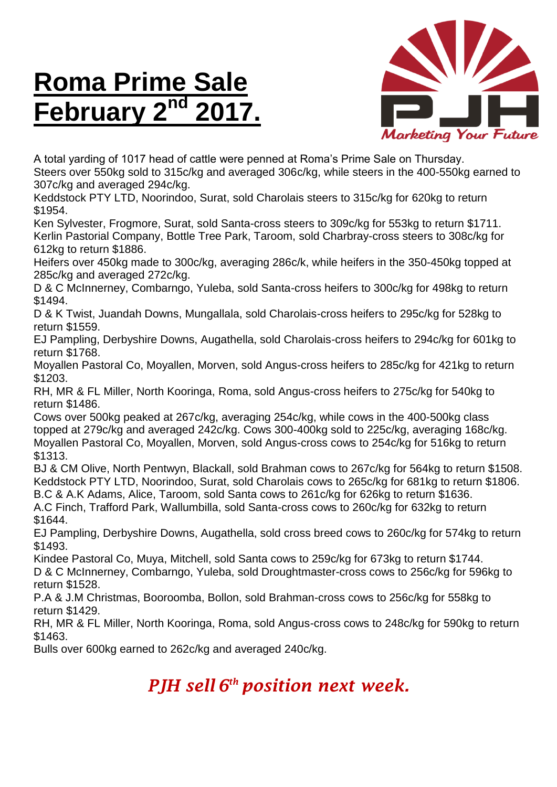## **Roma Prime Sale February**



A total yarding of 1017 head of cattle were penned at Roma's Prime Sale on Thursday. Steers over 550kg sold to 315c/kg and averaged 306c/kg, while steers in the 400-550kg earned to 307c/kg and averaged 294c/kg.

Keddstock PTY LTD, Noorindoo, Surat, sold Charolais steers to 315c/kg for 620kg to return \$1954.

Ken Sylvester, Frogmore, Surat, sold Santa-cross steers to 309c/kg for 553kg to return \$1711. Kerlin Pastorial Company, Bottle Tree Park, Taroom, sold Charbray-cross steers to 308c/kg for 612kg to return \$1886.

Heifers over 450kg made to 300c/kg, averaging 286c/k, while heifers in the 350-450kg topped at 285c/kg and averaged 272c/kg.

D & C McInnerney, Combarngo, Yuleba, sold Santa-cross heifers to 300c/kg for 498kg to return \$1494.

D & K Twist, Juandah Downs, Mungallala, sold Charolais-cross heifers to 295c/kg for 528kg to return \$1559.

EJ Pampling, Derbyshire Downs, Augathella, sold Charolais-cross heifers to 294c/kg for 601kg to return \$1768.

Moyallen Pastoral Co, Moyallen, Morven, sold Angus-cross heifers to 285c/kg for 421kg to return \$1203.

RH, MR & FL Miller, North Kooringa, Roma, sold Angus-cross heifers to 275c/kg for 540kg to return \$1486.

Cows over 500kg peaked at 267c/kg, averaging 254c/kg, while cows in the 400-500kg class topped at 279c/kg and averaged 242c/kg. Cows 300-400kg sold to 225c/kg, averaging 168c/kg. Moyallen Pastoral Co, Moyallen, Morven, sold Angus-cross cows to 254c/kg for 516kg to return \$1313.

BJ & CM Olive, North Pentwyn, Blackall, sold Brahman cows to 267c/kg for 564kg to return \$1508. Keddstock PTY LTD, Noorindoo, Surat, sold Charolais cows to 265c/kg for 681kg to return \$1806. B.C & A.K Adams, Alice, Taroom, sold Santa cows to 261c/kg for 626kg to return \$1636.

A.C Finch, Trafford Park, Wallumbilla, sold Santa-cross cows to 260c/kg for 632kg to return \$1644.

EJ Pampling, Derbyshire Downs, Augathella, sold cross breed cows to 260c/kg for 574kg to return \$1493.

Kindee Pastoral Co, Muya, Mitchell, sold Santa cows to 259c/kg for 673kg to return \$1744.

D & C McInnerney, Combarngo, Yuleba, sold Droughtmaster-cross cows to 256c/kg for 596kg to return \$1528.

P.A & J.M Christmas, Booroomba, Bollon, sold Brahman-cross cows to 256c/kg for 558kg to return \$1429.

RH, MR & FL Miller, North Kooringa, Roma, sold Angus-cross cows to 248c/kg for 590kg to return \$1463.

Bulls over 600kg earned to 262c/kg and averaged 240c/kg.

## *PJH sell 6 th position next week.*